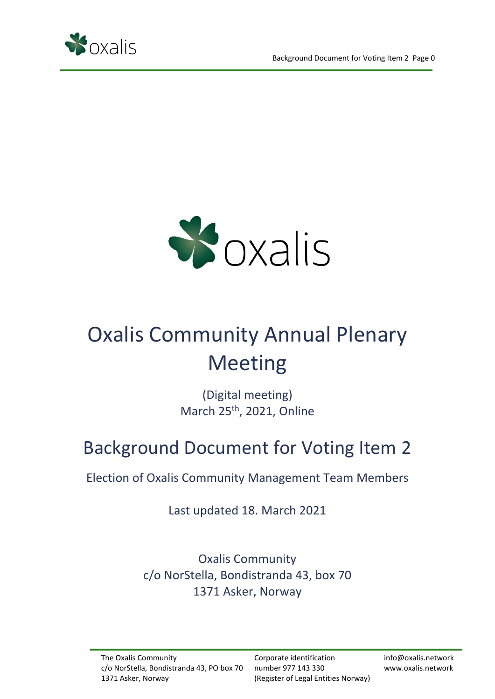



# Oxalis Community Annual Plenary Meeting

(Digital meeting) March 25<sup>th</sup>, 2021, Online

## Background Document for Voting Item 2

Election of Oxalis Community Management Team Members

Last updated 18. March 2021

Oxalis Community c/o NorStella, Bondistranda 43, box 70 1371 Asker, Norway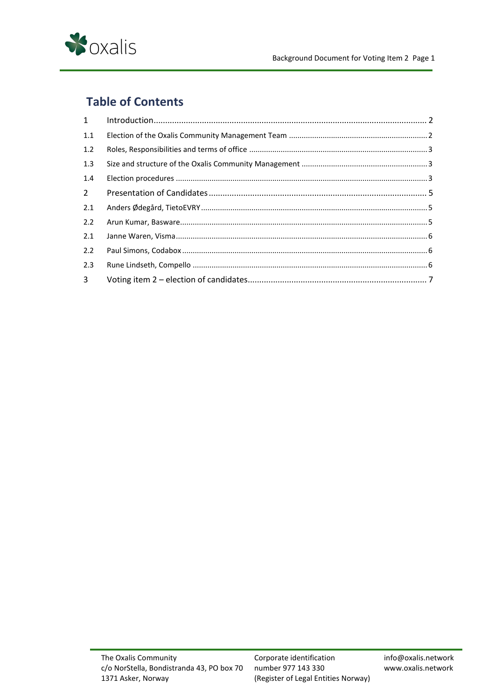

## **Table of Contents**

| 1              |  |
|----------------|--|
| 1.1            |  |
| 1.2            |  |
| 1.3            |  |
| 1.4            |  |
| $2^{\circ}$    |  |
| 2.1            |  |
| 2.2            |  |
| 2.1            |  |
| 2.2            |  |
| 2.3            |  |
| 3 <sup>7</sup> |  |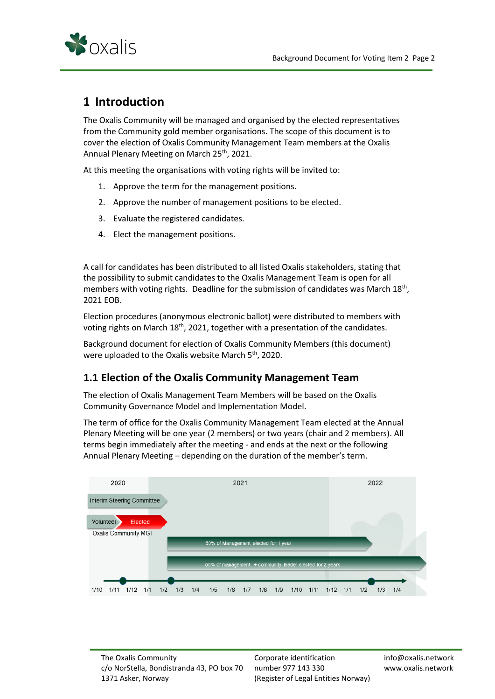

## <span id="page-2-0"></span>**1 Introduction**

The Oxalis Community will be managed and organised by the elected representatives from the Community gold member organisations. The scope of this document is to cover the election of Oxalis Community Management Team members at the Oxalis Annual Plenary Meeting on March 25<sup>th</sup>, 2021.

At this meeting the organisations with voting rights will be invited to:

- 1. Approve the term for the management positions.
- 2. Approve the number of management positions to be elected.
- 3. Evaluate the registered candidates.
- 4. Elect the management positions.

A call for candidates has been distributed to all listed Oxalis stakeholders, stating that the possibility to submit candidates to the Oxalis Management Team is open for all members with voting rights. Deadline for the submission of candidates was March 18<sup>th</sup>, 2021 EOB.

Election procedures (anonymous electronic ballot) were distributed to members with voting rights on March 18<sup>th</sup>, 2021, together with a presentation of the candidates.

Background document for election of Oxalis Community Members (this document) were uploaded to the Oxalis website March 5<sup>th</sup>, 2020.

#### <span id="page-2-1"></span>**1.1 Election of the Oxalis Community Management Team**

The election of Oxalis Management Team Members will be based on the Oxalis Community Governance Model and Implementation Model.

The term of office for the Oxalis Community Management Team elected at the Annual Plenary Meeting will be one year (2 members) or two years (chair and 2 members). All terms begin immediately after the meeting - and ends at the next or the following Annual Plenary Meeting – depending on the duration of the member's term.



Corporate identification number 977 143 330 (Register of Legal Entities Norway)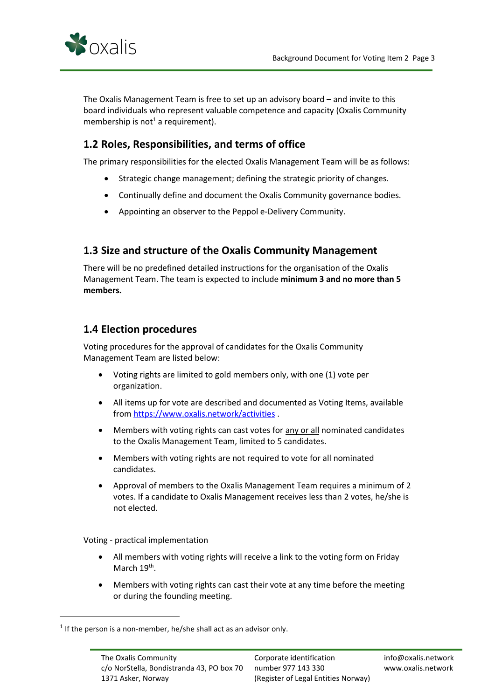

The Oxalis Management Team is free to set up an advisory board – and invite to this board individuals who represent valuable competence and capacity (Oxalis Community membership is not<sup>1</sup> a requirement).

#### <span id="page-3-0"></span>**1.2 Roles, Responsibilities, and terms of office**

The primary responsibilities for the elected Oxalis Management Team will be as follows:

- Strategic change management; defining the strategic priority of changes.
- Continually define and document the Oxalis Community governance bodies.
- Appointing an observer to the Peppol e-Delivery Community.

#### <span id="page-3-1"></span>**1.3 Size and structure of the Oxalis Community Management**

There will be no predefined detailed instructions for the organisation of the Oxalis Management Team. The team is expected to include **minimum 3 and no more than 5 members.**

## <span id="page-3-2"></span>**1.4 Election procedures**

Voting procedures for the approval of candidates for the Oxalis Community Management Team are listed below:

- Voting rights are limited to gold members only, with one (1) vote per organization.
- All items up for vote are described and documented as Voting Items, available fro[m https://www.oxalis.network/activities](https://www.oxalis.network/activities) .
- Members with voting rights can cast votes for any or all nominated candidates to the Oxalis Management Team, limited to 5 candidates.
- Members with voting rights are not required to vote for all nominated candidates.
- Approval of members to the Oxalis Management Team requires a minimum of 2 votes. If a candidate to Oxalis Management receives less than 2 votes, he/she is not elected.

Voting - practical implementation

- All members with voting rights will receive a link to the voting form on Friday March 19<sup>th</sup>.
- Members with voting rights can cast their vote at any time before the meeting or during the founding meeting.

 $<sup>1</sup>$  If the person is a non-member, he/she shall act as an advisor only.</sup>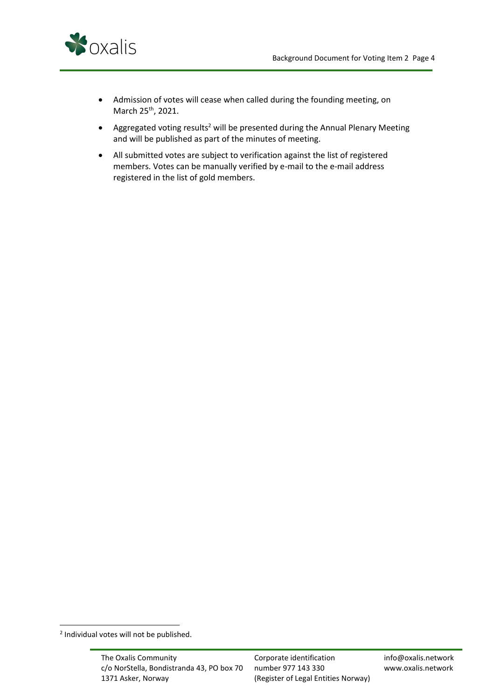

- Admission of votes will cease when called during the founding meeting, on March 25<sup>th</sup>, 2021.
- Aggregated voting results<sup>2</sup> will be presented during the Annual Plenary Meeting and will be published as part of the minutes of meeting.
- All submitted votes are subject to verification against the list of registered members. Votes can be manually verified by e-mail to the e-mail address registered in the list of gold members.

<sup>&</sup>lt;sup>2</sup> Individual votes will not be published.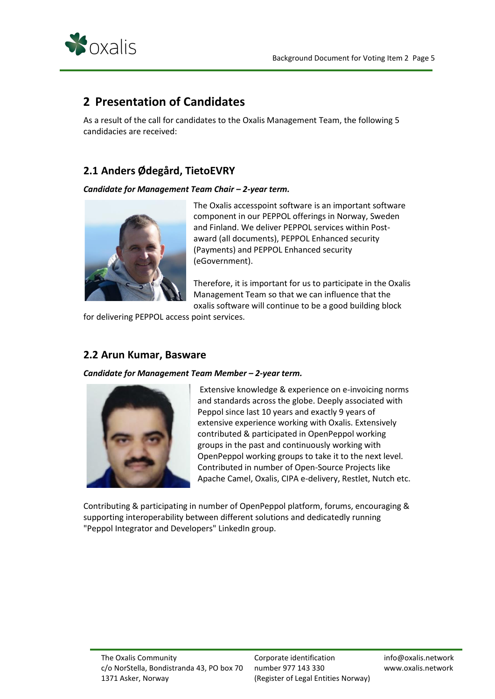

## <span id="page-5-0"></span>**2 Presentation of Candidates**

As a result of the call for candidates to the Oxalis Management Team, the following 5 candidacies are received:

## <span id="page-5-1"></span>**2.1 Anders Ødegård, TietoEVRY**

#### *Candidate for Management Team Chair – 2-year term.*



The Oxalis accesspoint software is an important software component in our PEPPOL offerings in Norway, Sweden and Finland. We deliver PEPPOL services within Postaward (all documents), PEPPOL Enhanced security (Payments) and PEPPOL Enhanced security (eGovernment).

Therefore, it is important for us to participate in the Oxalis Management Team so that we can influence that the oxalis software will continue to be a good building block

for delivering PEPPOL access point services.

## <span id="page-5-2"></span>**2.2 Arun Kumar, Basware**

*Candidate for Management Team Member – 2-year term.*



Extensive knowledge & experience on e-invoicing norms and standards across the globe. Deeply associated with Peppol since last 10 years and exactly 9 years of extensive experience working with Oxalis. Extensively contributed & participated in OpenPeppol working groups in the past and continuously working with OpenPeppol working groups to take it to the next level. Contributed in number of Open-Source Projects like Apache Camel, Oxalis, CIPA e-delivery, Restlet, Nutch etc.

Contributing & participating in number of OpenPeppol platform, forums, encouraging & supporting interoperability between different solutions and dedicatedly running "Peppol Integrator and Developers" LinkedIn group.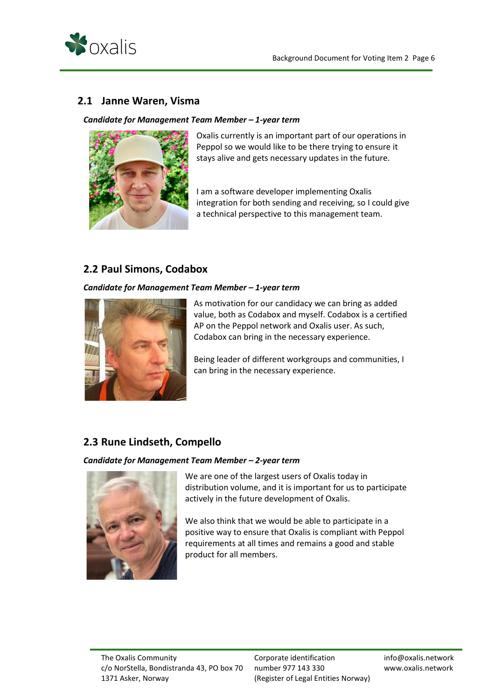

## <span id="page-6-0"></span>**2.1 Janne Waren, Visma**

#### *Candidate for Management Team Member – 1-year term*



Oxalis currently is an important part of our operations in Peppol so we would like to be there trying to ensure it stays alive and gets necessary updates in the future.

I am a software developer implementing Oxalis integration for both sending and receiving, so I could give a technical perspective to this management team.

#### <span id="page-6-1"></span>**2.2 Paul Simons, Codabox**

#### *Candidate for Management Team Member – 1-year term*



As motivation for our candidacy we can bring as added value, both as Codabox and myself. Codabox is a certified AP on the Peppol network and Oxalis user. As such, Codabox can bring in the necessary experience.

Being leader of different workgroups and communities, I can bring in the necessary experience.

## <span id="page-6-2"></span>**2.3 Rune Lindseth, Compello**

#### *Candidate for Management Team Member – 2-year term*



We are one of the largest users of Oxalis today in distribution volume, and it is important for us to participate actively in the future development of Oxalis.

We also think that we would be able to participate in a positive way to ensure that Oxalis is compliant with Peppol requirements at all times and remains a good and stable product for all members.